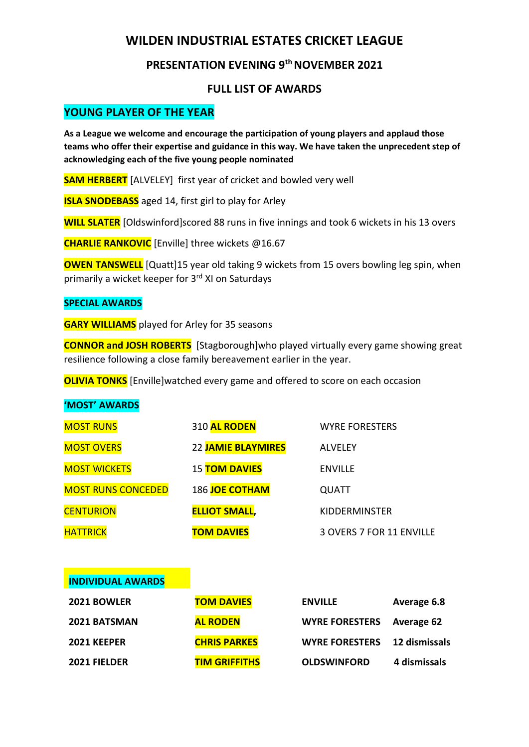# **WILDEN INDUSTRIAL ESTATES CRICKET LEAGUE**

## **PRESENTATION EVENING 9 th NOVEMBER 2021**

### **FULL LIST OF AWARDS**

## **YOUNG PLAYER OF THE YEAR**

**As a League we welcome and encourage the participation of young players and applaud those teams who offer their expertise and guidance in this way. We have taken the unprecedent step of acknowledging each of the five young people nominated**

**SAM HERBERT** [ALVELEY] first year of cricket and bowled very well

**ISLA SNODEBASS** aged 14, first girl to play for Arley

**WILL SLATER** [Oldswinford]scored 88 runs in five innings and took 6 wickets in his 13 overs

**CHARLIE RANKOVIC** [Enville] three wickets @16.67

**OWEN TANSWELL** [Quatt]15 year old taking 9 wickets from 15 overs bowling leg spin, when primarily a wicket keeper for 3<sup>rd</sup> XI on Saturdays

#### **SPECIAL AWARDS**

**GARY WILLIAMS** played for Arley for 35 seasons

**CONNOR and JOSH ROBERTS** [Stagborough]who played virtually every game showing great resilience following a close family bereavement earlier in the year.

**OLIVIA TONKS** [Enville]watched every game and offered to score on each occasion

#### **'MOST' AWARDS**

| <b>MOST RUNS</b>          | 310 AL RODEN         | <b>WYRE FORESTERS</b>    |
|---------------------------|----------------------|--------------------------|
| <b>MOST OVERS</b>         | 22 JAMIE BLAYMIRES   | <b>ALVELEY</b>           |
| <b>MOST WICKETS</b>       | <b>15 TOM DAVIES</b> | <b>ENVILLE</b>           |
| <b>MOST RUNS CONCEDED</b> | 186 JOE COTHAM       | <b>QUATT</b>             |
| <b>CENTURION</b>          | <b>ELLIOT SMALL,</b> | <b>KIDDERMINSTER</b>     |
| <b>HATTRICK</b>           | <b>TOM DAVIES</b>    | 3 OVERS 7 FOR 11 ENVILLE |
|                           |                      |                          |
| <b>INDIVIDUAL AWARDS</b>  |                      |                          |

| 2021 BOWLER  | <b>TOM DAVIES</b>    | <b>ENVILLE</b>                   | Average 6.8  |
|--------------|----------------------|----------------------------------|--------------|
| 2021 BATSMAN | <b>AL RODEN</b>      | <b>WYRE FORESTERS</b> Average 62 |              |
| 2021 KEEPER  | <b>CHRIS PARKES</b>  | WYRE FORESTERS 12 dismissals     |              |
| 2021 FIELDER | <b>TIM GRIFFITHS</b> | <b>OLDSWINFORD</b>               | 4 dismissals |